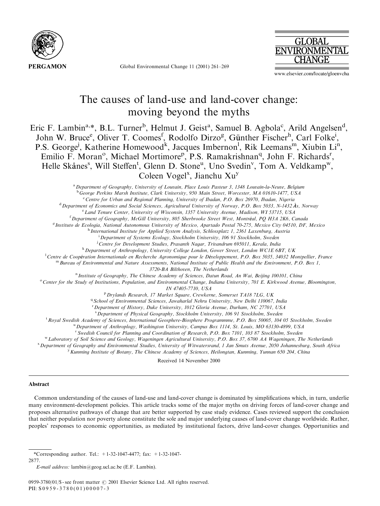

Global Environmental Change 11 (2001) 261–269



www.elsevier.com/locate/gloenvcha

# The causes of land-use and land-cover change: moving beyond the myths

Eric F. Lambin<sup>a,\*</sup>, B.L. Turner<sup>b</sup>, Helmut J. Geist<sup>a</sup>, Samuel B. Agbola<sup>c</sup>, Arild Angelsen<sup>d</sup>, John W. Bruce<sup>e</sup>, Oliver T. Coomes<sup>f</sup>, Rodolfo Dirzo<sup>g</sup>, Günther Fischer<sup>h</sup>, Carl Folke<sup>i</sup>, P.S. George<sup>j</sup>, Katherine Homewood<sup>k</sup>, Jacques Imbernon<sup>1</sup>, Rik Leemans<sup>m</sup>, Xiubin Li<sup>n</sup>, Emilio F. Moran<sup>o</sup>, Michael Mortimore<sup>p</sup>, P.S. Ramakrishnan<sup>q</sup>, John F. Richards<sup>r</sup>, Helle Skånes<sup>s</sup>, Will Steffen<sup>t</sup>, Glenn D. Stone<sup>u</sup>, Uno Svedin<sup>v</sup>, Tom A. Veldkamp<sup>w</sup>, Coleen Vogel<sup>x</sup>, Jianchu Xu<sup>y</sup>

a Department of Geography, University of Louvain, Place Louis Pasteur 3, 1348 Louvain-la-Neuve, Belgium

<sup>b</sup>George Perkins Marsh Institute, Clark University, 950 Main Street, Worcester, MA 01610-1477, USA

<sup>c</sup> Centre for Urban and Regional Planning, University of Ibadan, P.O. Box 26970, Ibadan, Nigeria

 $^{\rm d}$  Department of Economics and Social Sciences, Agricultural University of Norway, P.O. Box 5033, N-1432 Ås, Norway

<sup>e</sup> Land Tenure Center, University of Wisconsin, 1357 University Avenue, Madison, WI 53715, USA

<sup>f</sup> Department of Geography, McGill University, 805 Sherbrooke Street West, Montréal, PQ H3A 2K6, Canada

<sup>g</sup> Instituto de Ecologia, National Autonomous University of Mexico, Apartado Postal 70-275, Mexico City 04510, DF, Mexico

<sup>h</sup> International Institute for Applied System Analysis, Schlossplatz 1, 2361 Laxenburg, Austria

<sup>i</sup> Department of Systems Ecology, Stockholm University, 106 91 Stockholm, Sweden

<sup>j</sup> Centre for Development Studies, Prasanth Nagar, Trivandrum 695011, Kerala, India

k Department of Anthropology, University College London, Gower Street, London WC1E 6BT, UK

 $^{1}$ Centre de Coopération Internationale en Recherche Agronomique pour le Développement, P.O. Box 5035, 34032 Montpellier, France

m Bureau of Environmental and Nature Assessments, National Institute of Public Health and the Environment, P.O. Box 1, 3720-BA Bilthoven, The Netherlands

<sup>n</sup> Institute of Geography, The Chinese Academy of Sciences, Datun Road, An Wai, Beijing 100101, China

<sup>o</sup> Center for the Study of Institutions, Population, and Environmental Change, Indiana University, 701 E. Kirkwood Avenue, Bloomington,

IN 47405-7710, USA

<sup>p</sup>Drylands Research, 17 Market Square, Crewkerne, Somerset TA18 7LG, UK

<sup>q</sup> School of Environmental Sciences, Jawaharlal Nehru University, New Delhi 110067, India

<sup>r</sup> Department of History, Duke University, 1012 Gloria Avenue, Durham, NC 27701, USA

<sup>s</sup> Department of Physical Geography, Stockholm University, 106 91 Stockholm, Sweden

<sup>t</sup> Royal Swedish Academy of Sciences, International Geosphere-Biosphere Programmme, P.O. Box 50005, 104 05 Stockholm, Sweden

<sup>u</sup> Department of Anthroplogy, Washington University, Campus Box 1114, St. Louis, MO 63130-4899, USA v Swedish Council for Planning and Coordination of Research, P.O. Box 7101, 103 87 Stockholm, Sweden

<sup>w</sup> Laboratory of Soil Science and Geology, Wageningen Agricultural University, P.O. Box 37, 6700 AA Wageningen, The Netherlands

x Department of Geography and Environmental Studies, University of Witwatersrand, 1 Jan Smuts Avenue, 2050 Johannesburg, South Africa

y<br>Kunming Institute of Botany, The Chinese Academy of Sciences, Heilongtan, Kunming, Yunnan 650 204, China

Received 14 November 2000

#### Abstract

Common understanding of the causes of land-use and land-cover change is dominated by simplifications which, in turn, underlie many environment-development policies. This article tracks some of the major myths on driving forces of land-cover change and proposes alternative pathways of change that are better supported by case study evidence. Cases reviewed support the conclusion that neither population nor poverty alone constitute the sole and major underlying causes of land-cover change worldwide. Rather, peoples' responses to economic opportunities, as mediated by institutional factors, drive land-cover changes. Opportunities and

\*Corresponding author. Tel.:  $+1-32-1047-4477$ ; fax:  $+1-32-1047-$ 

2877.

0959-3780/01/\$ - see front matter © 2001 Elsevier Science Ltd. All rights reserved. PII:S 0959-3780(01)00007-3

E-mail address: lambin@geog.ucl.ac.be (E.F. Lambin).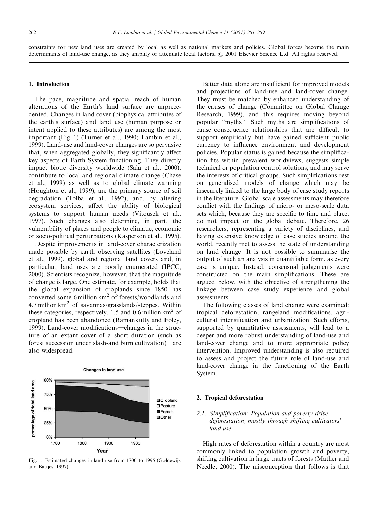constraints for new land uses are created by local as well as national markets and policies. Global forces become the main determinants of land-use change, as they amplify or attenuate local factors.  $\odot$  2001 Elsevier Science Ltd. All rights reserved.

## 1. Introduction

The pace, magnitude and spatial reach of human alterations of the Earth's land surface are unprecedented. Changes in land cover (biophysical attributes of the earth's surface) and land use (human purpose or intent applied to these attributes) are among the most important (Fig. 1) (Turner et al., 1990; Lambin et al., 1999). Land-use and land-cover changes are so pervasive that, when aggregated globally, they significantly affect key aspects of Earth System functioning. They directly impact biotic diversity worldwide (Sala et al., 2000); contribute to local and regional climate change (Chase et al., 1999) as well as to global climate warming (Houghton et al., 1999); are the primary source of soil degradation (Tolba et al., 1992); and, by altering ecosystem services, affect the ability of biological systems to support human needs (Vitousek et al., 1997). Such changes also determine, in part, the vulnerability of places and people to climatic, economic or socio-political perturbations (Kasperson et al., 1995).

Despite improvements in land-cover characterization made possible by earth observing satellites (Loveland et al., 1999), global and regional land covers and, in particular, land uses are poorly enumerated (IPCC, 2000). Scientists recognize, however, that the magnitude of change is large. One estimate, for example, holds that the global expansion of croplands since 1850 has converted some 6 million  $km^2$  of forests/woodlands and  $4.7$  million km<sup>2</sup> of savannas/grasslands/steppes. Within these categories, respectively, 1.5 and 0.6 million  $km<sup>2</sup>$  of cropland has been abandoned (Ramankutty and Foley, 1999). Land-cover modifications—changes in the structure of an extant cover of a short duration (such as forest succession under slash-and burn cultivation)—are also widespread.



Fig. 1. Estimated changes in land use from 1700 to 1995 (Goldewijk and Battjes, 1997).

Better data alone are insufficient for improved models and projections of land-use and land-cover change. They must be matched by enhanced understanding of the causes of change (Committee on Global Change Research, 1999), and this requires moving beyond popular ''myths''. Such myths are simplifications of cause–consequence relationships that are difficult to support empirically but have gained sufficient public currency to influence environment and development policies. Popular status is gained because the simplification fits within prevalent worldviews, suggests simple technical or population control solutions, and may serve the interests of critical groups. Such simplifications rest on generalised models of change which may be insecurely linked to the large body of case study reports in the literature. Global scale assessments may therefore conflict with the findings of micro- or meso-scale data sets which, because they are specific to time and place, do not impact on the global debate. Therefore, 26 researchers, representing a variety of disciplines, and having extensive knowledge of case studies around the world, recently met to assess the state of understanding on land change. It is not possible to summarise the output of such an analysis in quantifiable form, as every case is unique. Instead, consensual judgements were constructed on the main simplifications. These are argued below, with the objective of strengthening the linkage between case study experience and global assessments.

The following classes of land change were examined: tropical deforestation, rangeland modifications, agricultural intensification and urbanization. Such efforts, supported by quantitative assessments, will lead to a deeper and more robust understanding of land-use and land-cover change and to more appropriate policy intervention. Improved understanding is also required to assess and project the future role of land-use and land-cover change in the functioning of the Earth System.

#### 2. Tropical deforestation

2.1. Simplification: Population and poverty drive deforestation, mostly through shifting cultivators' land use

High rates of deforestation within a country are most commonly linked to population growth and poverty, shifting cultivation in large tracts of forests (Mather and Needle, 2000). The misconception that follows is that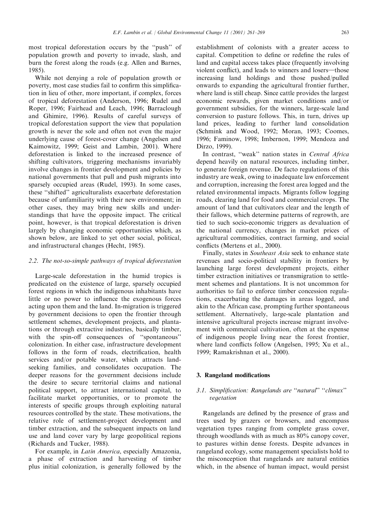most tropical deforestation occurs by the ''push'' of population growth and poverty to invade, slash, and burn the forest along the roads (e.g. Allen and Barnes, 1985).

While not denying a role of population growth or poverty, most case studies fail to confirm this simplification in lieu of other, more important, if complex, forces of tropical deforestation (Anderson, 1996; Rudel and Roper, 1996; Fairhead and Leach, 1996; Barraclough and Ghimire, 1996). Results of careful surveys of tropical deforestation support the view that population growth is never the sole and often not even the major underlying cause of forest-cover change (Angelsen and Kaimowitz, 1999; Geist and Lambin, 2001). Where deforestation is linked to the increased presence of shifting cultivators, triggering mechanisms invariably involve changes in frontier development and policies by national governments that pull and push migrants into sparsely occupied areas (Rudel, 1993). In some cases, these ''shifted'' agriculturalists exacerbate deforestation because of unfamiliarity with their new environment; in other cases, they may bring new skills and understandings that have the opposite impact. The critical point, however, is that tropical deforestation is driven largely by changing economic opportunities which, as shown below, are linked to yet other social, political, and infrastructural changes (Hecht, 1985).

# 2.2. The not-so-simple pathways of tropical deforestation

Large-scale deforestation in the humid tropics is predicated on the existence of large, sparsely occupied forest regions in which the indigenous inhabitants have little or no power to influence the exogenous forces acting upon them and the land. In-migration is triggered by government decisions to open the frontier through settlement schemes, development projects, and plantations or through extractive industries, basically timber, with the spin-off consequences of ''spontaneous'' colonization. In either case, infrastructure development follows in the form of roads, electrification, health services and/or potable water, which attracts landseeking families, and consolidates occupation. The deeper reasons for the government decisions include the desire to secure territorial claims and national political support, to attract international capital, to facilitate market opportunities, or to promote the interests of specific groups through exploiting natural resources controlled by the state. These motivations, the relative role of settlement-project development and timber extraction, and the subsequent impacts on land use and land cover vary by large geopolitical regions (Richards and Tucker, 1988).

For example, in Latin America, especially Amazonia, a phase of extraction and harvesting of timber plus initial colonization, is generally followed by the establishment of colonists with a greater access to capital. Competition to define or redefine the rules of land and capital access takes place (frequently involving violent conflict), and leads to winners and losers—those increasing land holdings and those pushed/pulled onwards to expanding the agricultural frontier further, where land is still cheap. Since cattle provides the largest economic rewards, given market conditions and/or government subsidies, for the winners, large-scale land conversion to pasture follows. This, in turn, drives up land prices, leading to further land consolidation (Schmink and Wood, 1992; Moran, 1993; Coomes, 1996; Faminow, 1998; Imbernon, 1999; Mendoza and Dirzo, 1999).

In contrast, "weak" nation states in *Central Africa* depend heavily on natural resources, including timber, to generate foreign revenue. De facto regulations of this industry are weak, owing to inadequate law enforcement and corruption, increasing the forest area logged and the related environmental impacts. Migrants follow logging roads, clearing land for food and commercial crops. The amount of land that cultivators clear and the length of their fallows, which determine patterns of regrowth, are tied to such socio-economic triggers as devaluation of the national currency, changes in market prices of agricultural commodities, contract farming, and social conflicts (Mertens et al., 2000).

Finally, states in Southeast Asia seek to enhance state revenues and socio-political stability in frontiers by launching large forest development projects, either timber extraction initiatives or transmigration to settlement schemes and plantations. It is not uncommon for authorities to fail to enforce timber concession regulations, exacerbating the damages in areas logged, and akin to the African case, prompting further spontaneous settlement. Alternatively, large-scale plantation and intensive agricultural projects increase migrant involvement with commercial cultivation, often at the expense of indigenous people living near the forest frontier, where land conflicts follow (Angelsen, 1995; Xu et al., 1999; Ramakrishnan et al., 2000).

## 3. Rangeland modifications

# 3.1. Simplification: Rangelands are ''natural'' ''climax'' vegetation

Rangelands are defined by the presence of grass and trees used by grazers or browsers, and encompass vegetation types ranging from complete grass cover, through woodlands with as much as 80% canopy cover, to pastures within dense forests. Despite advances in rangeland ecology, some management specialists hold to the misconception that rangelands are natural entities which, in the absence of human impact, would persist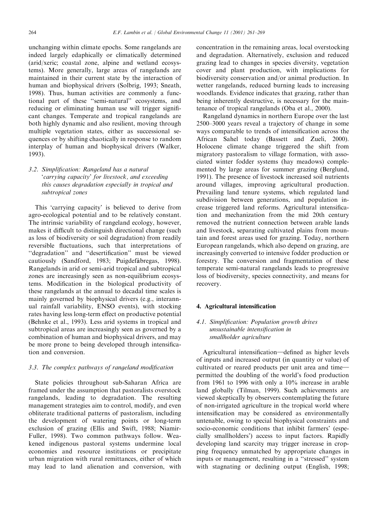unchanging within climate epochs. Some rangelands are indeed largely edaphically or climatically determined (arid/xeric; coastal zone, alpine and wetland ecosystems). More generally, large areas of rangelands are maintained in their current state by the interaction of human and biophysical drivers (Solbrig, 1993; Sneath, 1998). Thus, human activities are commonly a functional part of these ''semi-natural'' ecosystems, and reducing or eliminating human use will trigger significant changes. Temperate and tropical rangelands are both highly dynamic and also resilient, moving through multiple vegetation states, either as successional sequences or by shifting chaotically in response to random interplay of human and biophysical drivers (Walker, 1993).

3.2. Simplification: Rangeland has a natural 'carrying capacity' for livestock, and exceeding this causes degradation especially in tropical and subtropical zones

This 'carrying capacity' is believed to derive from agro-ecological potential and to be relatively constant. The intrinsic variability of rangeland ecology, however, makes it difficult to distinguish directional change (such as loss of biodiversity or soil degradation) from readily reversible fluctuations, such that interpretations of ''degradation'' and ''desertification'' must be viewed cautiously (Sandford, 1983; Puigdefàbregas, 1998). Rangelands in arid or semi-arid tropical and subtropical zones are increasingly seen as non-equilibrium ecosystems. Modification in the biological productivity of these rangelands at the annual to decadal time scales is mainly governed by biophysical drivers (e.g., interannual rainfall variability, ENSO events), with stocking rates having less long-term effect on productive potential (Behnke et al., 1993). Less arid systems in tropical and subtropical areas are increasingly seen as governed by a combination of human and biophysical drivers, and may be more prone to being developed through intensification and conversion.

## 3.3. The complex pathways of rangeland modification

State policies throughout sub-Saharan Africa are framed under the assumption that pastoralists overstock rangelands, leading to degradation. The resulting management strategies aim to control, modify, and even obliterate traditional patterns of pastoralism, including the development of watering points or long-term exclusion of grazing (Ellis and Swift, 1988; Niamir-Fuller, 1998). Two common pathways follow. Weakened indigenous pastoral systems undermine local economies and resource institutions or precipitate urban migration with rural remittances, either of which may lead to land alienation and conversion, with

concentration in the remaining areas, local overstocking and degradation. Alternatively, exclusion and reduced grazing lead to changes in species diversity, vegetation cover and plant production, with implications for biodiversity conservation and/or animal production. In wetter rangelands, reduced burning leads to increasing woodlands. Evidence indicates that grazing, rather than being inherently destructive, is necessary for the maintenance of tropical rangelands (Oba et al., 2000).

Rangeland dynamics in northern Europe over the last 2500–3000 years reveal a trajectory of change in some ways comparable to trends of intensification across the African Sahel today (Bassett and Zueli, 2000). Holocene climate change triggered the shift from migratory pastoralism to village formation, with associated winter fodder systems (hay meadows) complemented by large areas for summer grazing (Berglund, 1991). The presence of livestock increased soil nutrients around villages, improving agricultural production. Prevailing land tenure systems, which regulated land subdivision between generations, and population increase triggered land reforms. Agricultural intensification and mechanization from the mid 20th century removed the nutrient connection between arable lands and livestock, separating cultivated plains from mountain and forest areas used for grazing. Today, northern European rangelands, which also depend on grazing, are increasingly converted to intensive fodder production or forestry. The conversion and fragmentation of these temperate semi-natural rangelands leads to progressive loss of biodiversity, species connectivity, and means for recovery.

## 4. Agricultural intensification

## 4.1. Simplification: Population growth drives unsustainable intensification in smallholder agriculture

Agricultural intensification—defined as higher levels of inputs and increased output (in quantity or value) of cultivated or reared products per unit area and time permitted the doubling of the world's food production from 1961 to 1996 with only a 10% increase in arable land globally (Tilman, 1999). Such achievements are viewed skeptically by observers contemplating the future of non-irrigated agriculture in the tropical world where intensification may be considered as environmentally untenable, owing to special biophysical constraints and socio-economic conditions that inhibit farmers' (especially smallholders') access to input factors. Rapidly developing land scarcity may trigger increase in cropping frequency unmatched by appropriate changes in inputs or management, resulting in a ''stressed'' system with stagnating or declining output (English, 1998;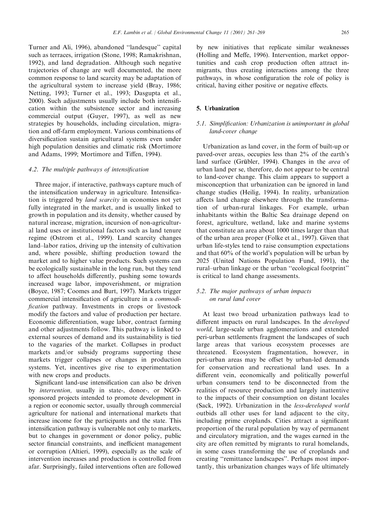Turner and Ali, 1996), abandoned ''landesque'' capital such as terraces, irrigation (Stone, 1998; Ramakrishnan, 1992), and land degradation. Although such negative trajectories of change are well documented, the more common response to land scarcity may be adaptation of the agricultural system to increase yield (Bray, 1986; Netting, 1993; Turner et al., 1993; Dasgupta et al., 2000). Such adjustments usually include both intensification within the subsistence sector and increasing commercial output (Guyer, 1997), as well as new strategies by households, including circulation, migration and off-farm employment. Various combinations of diversification sustain agricultural systems even under high population densities and climatic risk (Mortimore and Adams, 1999; Mortimore and Tiffen, 1994).

## 4.2. The multiple pathways of intensification

Three major, if interactive, pathways capture much of the intensification underway in agriculture. Intensification is triggered by land scarcity in economies not yet fully integrated in the market, and is usually linked to growth in population and its density, whether caused by natural increase, migration, incursion of non-agricultural land uses or institutional factors such as land tenure regime (Ostrom et al., 1999). Land scarcity changes land–labor ratios, driving up the intensity of cultivation and, where possible, shifting production toward the market and to higher value products. Such systems can be ecologically sustainable in the long run, but they tend to affect households differently, pushing some towards increased wage labor, impoverishment, or migration (Boyce, 1987; Coomes and Burt, 1997). Markets trigger commercial intensification of agriculture in a commodification pathway. Investments in crops or livestock modify the factors and value of production per hectare. Economic differentiation, wage labor, contract farming and other adjustments follow. This pathway is linked to external sources of demand and its sustainability is tied to the vagaries of the market. Collapses in product markets and/or subsidy programs supporting these markets trigger collapses or changes in production systems. Yet, incentives give rise to experimentation with new crops and products.

Significant land-use intensification can also be driven by intervention, usually in state-, donor-, or NGOsponsored projects intended to promote development in a region or economic sector, usually through commercial agriculture for national and international markets that increase income for the participants and the state. This intensification pathway is vulnerable not only to markets, but to changes in government or donor policy, public sector financial constraints, and inefficient management or corruption (Altieri, 1999), especially as the scale of intervention increases and production is controlled from afar. Surprisingly, failed interventions often are followed

by new initiatives that replicate similar weaknesses (Holling and Meffe, 1996). Intervention, market opportunities and cash crop production often attract inmigrants, thus creating interactions among the three pathways, in whose configuration the role of policy is critical, having either positive or negative effects.

## 5. Urbanization

# 5.1. Simplification: Urbanization is unimportant in global land-cover change

Urbanization as land cover, in the form of built-up or paved-over areas, occupies less than 2% of the earth's land surface (Grübler, 1994). Changes in the *area* of urban land per se, therefore, do not appear to be central to land-cover change. This claim appears to support a misconception that urbanization can be ignored in land change studies (Heilig, 1994). In reality, urbanization affects land change elsewhere through the transformation of urban-rural linkages. For example, urban inhabitants within the Baltic Sea drainage depend on forest, agriculture, wetland, lake and marine systems that constitute an area about 1000 times larger than that of the urban area proper (Folke et al., 1997). Given that urban life-styles tend to raise consumption expectations and that 60% of the world's population will be urban by 2025 (United Nations Population Fund, 1991), the rural–urban linkage or the urban ''ecological footprint'' is critical to land change assessments.

# 5.2. The major pathways of urban impacts on rural land cover

At least two broad urbanization pathways lead to different impacts on rural landscapes. In the developed world, large-scale urban agglomerations and extended peri-urban settlements fragment the landscapes of such large areas that various ecosystem processes are threatened. Ecosystem fragmentation, however, in peri-urban areas may be offset by urban-led demands for conservation and recreational land uses. In a different vein, economically and politically powerful urban consumers tend to be disconnected from the realities of resource production and largely inattentive to the impacts of their consumption on distant locales (Sack, 1992). Urbanization in the less-developed world outbids all other uses for land adjacent to the city, including prime croplands. Cities attract a significant proportion of the rural population by way of permanent and circulatory migration, and the wages earned in the city are often remitted by migrants to rural homelands, in some cases transforming the use of croplands and creating ''remittance landscapes''. Perhaps most importantly, this urbanization changes ways of life ultimately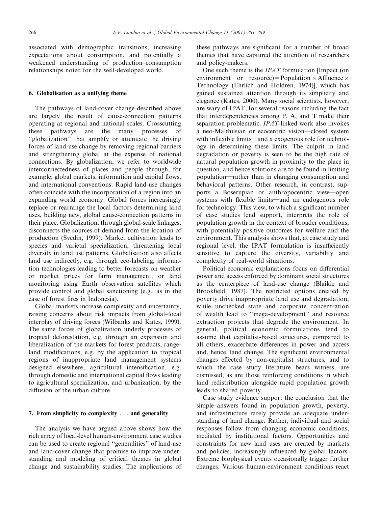associated with demographic transitions, increasing expectations about consumption, and potentially a weakened understanding of production–consumption relationships noted for the well-developed world.

## 6. Globalisation as a unifying theme

The pathways of land-cover change described above are largely the result of cause-connection patterns operating at regional and national scales. Crosscutting these pathways are the many processes of ''globalization'' that amplify or attenuate the driving forces of land-use change by removing regional barriers and strengthening global at the expense of national connections. By globalization, we refer to worldwide interconnectedness of places and people through, for example, global markets, information and capital flows, and international conventions. Rapid land-use changes often coincide with the incorporation of a region into an expanding world economy. Global forces increasingly replace or rearrange the local factors determining land uses, building new, global cause-connection patterns in their place. Globalization, through global-scale linkages, disconnects the sources of demand from the location of production (Svedin, 1999). Market cultivation leads to species and varietal specialization, threatening local diversity in land use patterns. Globalisation also affects land use indirectly, e.g. through eco-labeling, information technologies leading to better forecasts on weather or market prices for farm management, or land monitoring using Earth observation satellites which provide control and global sanctioning (e.g., as in the case of forest fires in Indonesia).

Global markets increase complexity and uncertainty, raising concerns about risk impacts from global–local interplay of driving forces (Wilbanks and Kates, 1999). The same forces of globalization underly processes of tropical deforestation, e.g. through an expansion and liberalization of the markets for forest products, rangeland modifications, e.g. by the application to tropical regions of inappropriate land management systems designed elsewhere, agricultural intensification, e.g. through domestic and international capital flows leading to agricultural specialization, and urbanization, by the diffusion of the urban culture.

#### 7. From simplicity to complexity ... and generality

The analysis we have argued above shows how the rich array of local-level human-environment case studies can be used to create regional ''generalities'' of land-use and land-cover change that promise to improve understanding and modeling of critical themes in global change and sustainability studies. The implications of these pathways are significant for a number of broad themes that have captured the attention of researchers and policy-makers.

One such theme is the IPAT formulation [Impact (on environment or resource) = Population  $\times$  Affluence  $\times$ Technology (Ehrlich and Holdren, 1974)], which has gained sustained attention through its simplicity and elegance (Kates, 2000). Many social scientists, however, are wary of IPAT, for several reasons including the fact that interdependencies among P, A, and T make their separation problematic. IPAT-linked work also invokes a neo-Malthusian or ecocentric vision-closed system with inflexible limits—and a exogenous role for technology in determining these limits. The culprit in land degradation or poverty is seen to be the high rate of natural population growth in proximity to the place in question, and hence solutions are to be found in limiting population—rather than in changing consumption and behavioral patterns. Other research, in contrast, supports a Boserupian or anthropocentric view—open systems with flexible limits—and an endogenous role for technology. This view, to which a significant number of case studies lend support, interprets the role of population growth in the context of broader conditions, with potentially positive outcomes for welfare and the environment. This analysis shows that, at case study and regional level, the IPAT formulation is insufficiently sensitive to capture the diversity, variability and complexity of real-world situations.

Political economic explanations focus on differential power and access enforced by dominant social structures as the centerpiece of land-use change (Blaikie and Brookfield, 1987). The restricted options created by poverty drive inappropriate land use and degradation, while unchecked state and corporate concentration of wealth lead to ''mega-development'' and resource extraction projects that degrade the environment. In general, political economic formulations tend to assume that capitalist-based structures, compared to all others, exacerbate differences in power and access and, hence, land change. The significant environmental changes effected by non-capitalist structures, and to which the case study literature bears witness, are dismissed, as are those reinforcing conditions in which land redistribution alongside rapid population growth leads to shared poverty.

Case study evidence support the conclusion that the simple answers found in population growth, poverty, and infrastructure rarely provide an adequate understanding of land change. Rather, individual and social responses follow from changing economic conditions, mediated by institutional factors. Opportunities and constraints for new land uses are created by markets and policies, increasingly influenced by global factors. Extreme biophysical events occasionally trigger further changes. Various human-environment conditions react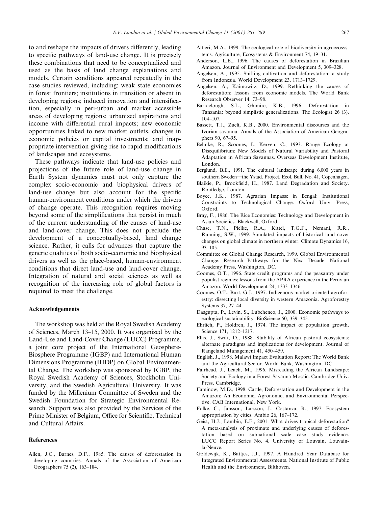to and reshape the impacts of drivers differently, leading to specific pathways of land-use change. It is precisely these combinations that need to be conceptualized and used as the basis of land change explanations and models. Certain conditions appeared repeatedly in the case studies reviewed, including: weak state economies in forest frontiers; institutions in transition or absent in developing regions; induced innovation and intensification, especially in peri-urban and market accessible areas of developing regions; urbanized aspirations and income with differential rural impacts; new economic opportunities linked to new market outlets, changes in economic policies or capital investments; and inappropriate intervention giving rise to rapid modifications of landscapes and ecosystems.

These pathways indicate that land-use policies and projections of the future role of land-use change in Earth System dynamics must not only capture the complex socio-economic and biophysical drivers of land-use change but also account for the specific human-environment conditions under which the drivers of change operate. This recognition requires moving beyond some of the simplifications that persist in much of the current understanding of the causes of land-use and land-cover change. This does not preclude the development of a conceptually-based, land change science. Rather, it calls for advances that capture the generic qualities of both socio-economic and biophysical drivers as well as the place-based, human-environment conditions that direct land-use and land-cover change. Integration of natural and social sciences as well as recognition of the increasing role of global factors is required to meet the challenge.

#### Acknowledgements

The workshop was held at the Royal Swedish Academy of Sciences, March 13–15, 2000. It was organized by the Land-Use and Land-Cover Change (LUCC) Programme, a joint core project of the International Geosphere-Biosphere Programme (IGBP) and International Human Dimensions Programme (IHDP) on Global Environmental Change. The workshop was sponsored by IGBP, the Royal Swedish Academy of Sciences, Stockholm University, and the Swedish Agricultural University. It was funded by the Millenium Committee of Sweden and the Swedish Foundation for Strategic Environmental Research. Support was also provided by the Services of the Prime Minister of Belgium, Office for Scientific, Technical and Cultural Affairs.

#### References

Allen, J.C., Barnes, D.F., 1985. The causes of deforestation in developing countries. Annals of the Association of American Geographers 75 (2), 163–184.

- Altieri, M.A., 1999. The ecological role of biodiversity in agroecosystems. Agriculture, Ecosystems & Environment 74, 19–31.
- Anderson, L.E., 1996. The causes of deforestation in Brazilian Amazon. Journal of Environment and Development 5, 309–328.
- Angelsen, A., 1995. Shifting cultivation and deforestation: a study from Indonesia. World Development 23, 1713–1729.
- Angelsen, A., Kaimowitz, D., 1999. Rethinking the causes of deforestation: lessons from economic models. The World Bank Research Observer 14, 73–98.
- Barraclough, S.L., Ghimire, K.B., 1996. Deforestation in Tanzania:beyond simplistic generalizations. The Ecologist 26 (3), 104–107.
- Bassett, T.J., Zueli, K.B., 2000. Environmental discourses and the Ivorian savanna. Annals of the Association of American Geographers 90, 67–95.
- Behnke, R., Scoones, I., Kerven, C., 1993. Range Ecology at Disequilibrium: New Models of Natural Variability and Pastoral Adaptation in African Savannas. Overseas Development Institute, London.
- Berglund, B.E., 1991. The cultural landscape during 6,000 years in southern Sweden-the Ystad. Project. Ecol. Bull. No. 41, Copenhagen.
- Blaikie, P., Brookfield, H., 1987. Land Degradation and Society. Routledge, London.
- Boyce, J.K., 1987. Agrarian Impasse in Bengal: Institutional Constraints to Technological Change. Oxford Univ. Press, Oxford.
- Bray, F., 1986. The Rice Economies: Technology and Development in Asian Societies. Blackwell, Oxford.
- Chase, T.N., Pielke, R.A., Kittel, T.G.F., Nemani, R.R., Running, S.W., 1999. Simulated impacts of historical land cover changes on global climate in northern winter. Climate Dynamics 16, 93–105.
- Committee on Global Change Research, 1999. Global Environmental Change: Research Pathways for the Next Decade. National Academy Press, Washington, DC.
- Coomes, O.T., 1996. State credit programs and the peasantry under populist regimes: lessons from the APRA experience in the Peruvian Amazon. World Development 24, 1333–1346.
- Coomes, O.T., Burt, G.J., 1997. Indigenous market-oriented agroforestry: dissecting local diversity in western Amazonia. Agroforestry Systems 37, 27–44.
- Dasgupta, P., Levin, S., Lubchenco, J., 2000. Economic pathways to ecological sustainability. BioScience 50, 339–345.
- Ehrlich, P., Holdren, J., 1974. The impact of population growth. Science 171, 1212–1217.
- Ellis, J., Swift, D., 1988. Stability of African pastoral ecosystems: alternate paradigms and implications for development. Journal of Rangeland Management 41, 450–459.
- English, J., 1998. Malawi Impact Evaluation Report: The World Bank and the Agricultural Sector. World Bank, Washington, DC.
- Fairhead, J., Leach, M., 1996. Misreading the African Landscape: Society and Ecology in a Forest-Savanna Mosaic. Cambridge Univ. Press, Cambridge.
- Faminow, M.D., 1998. Cattle, Deforestation and Development in the Amazon: An Economic, Agronomic, and Environmental Perspective. CAB International, New York.
- Folke, C., Jansson, Larsson, J., Costanza, R., 1997. Ecosystem appropriation by cities. Ambio 26, 167–172.
- Geist, H.J., Lambin, E.F., 2001. What drives tropical deforestation? A meta-analysis of proximate and underlying causes of deforestation based on subnational scale case study evidence. LUCC Report Series No. 4. University of Louvain, Louvainla-Neuve.
- Goldewijk, K., Battjes, J.J., 1997. A Hundred Year Database for Integrated Environmental Assessments. National Institute of Public Health and the Environment, Bilthoven.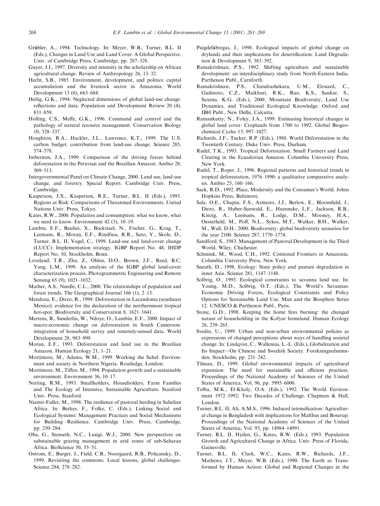- Grübler, A., 1994. Technology. In: Meyer, W.B., Turner, B.L. II (Eds.), Changes in Land Use and Land Cover: A Global Perspective. Univ. of Cambridge Press, Cambridge, pp. 287–328.
- Guyer, J.I., 1997. Diversity and intensity in the scholarship on African agricultural change. Review of Anthropology 26, 13–32.
- Hecht, S.B., 1985. Environment, development, and politics: capital accumulation and the livestock sector in Amazonia. World Development 13 (6), 663–684.
- Heilig, G.K., 1994. Neglected dimensions of global land-use change: reflections and data. Population and Development Review 20 (4), 831–859.
- Holling, C.S., Meffe, G.K., 1996. Command and control and the pathology of natural resource management. Conservation Biology 10, 328–337.
- Houghton, R.A., Hackler, J.L., Lawrence, K.T., 1999. The U.S. carbon budget: contribution from land-use change. Science 285, 574–578.
- Imbernon, J.A., 1999. Comparison of the driving forces behind deforestation in the Peruvian and the Brazilian Amazon. Ambio 28, 509–513.
- Intergovernmental Panel on Climate Change, 2000. Land use, land-use change, and forestry. Special Report. Cambridge Univ. Press, Cambridge.
- Kasperson, J.X., Kasperson, R.E., Turner, B.L. II (Eds.), 1995. Regions at Risk:Comparisons of Threatened Environments. United Nations Univ. Press, Tokyo.
- Kates, R.W., 2000. Population and consumption: what we know, what we need to know. Environment 42 (3), 10–19.
- Lambin, E.F., Baulies, X., Bockstael, N., Fischer, G., Krug, T., Leemans, R., Moran, E.F., Rindfuss, R.R., Sato, Y., Skole, D., Turner, B.L. II, Vogel, C., 1999. Land-use and land-cover change (LUCC): Implementation strategy. IGBP Report No. 48, IHDP Report No. 10, Stockholm, Bonn.
- Loveland, T.R., Zhu, Z., Ohlen, D.O., Brown, J.F., Reed, B.C, Yang, L.M., 1999. An analysis of the IGBP global land-cover characterization process. Photogrammetric Engineering and Remote Sensing 65 (9), 1021–1032.
- Mather, A.S., Needle, C.L., 2000. The relationships of population and forest trends. The Geographical Journal 166 (1), 2–13.
- Mendoza, E., Dirzo, R., 1999. Deforestation in Lacandonia (southeast Mexico): evidence for the declaration of the northernmost tropical hot-spot. Biodiversity and Conservation 8, 1621–1641.
- Mertens, B., Sunderlin, W., Ndoye, O., Lambin, E.F., 2000. Impact of macro-economic change on deforestation in South Cameroon: integration of household survey and remotely-sensed data. World Development 28, 983–999.
- Moran, E.F., 1993. Deforestation and land use in the Brazilian Amazon. Human Ecology 21, 1–21.
- Mortimore, M., Adams, W.M., 1999. Working the Sahel: Environment and society in Northern Nigeria. Routledge, London.
- Mortimore, M., Tiffen, M., 1994. Population growth and a sustainable environment. Environment 36, 10–17.
- Netting, R.M., 1993. Smallholders, Householders, Farm Families and The Ecology of Intensive, Sustainable Agriculture. Stanford Univ. Press, Stanford.
- Niamir-Fuller, M., 1998. The resilience of pastoral herding in Sahelian Africa. In: Berkes, F., Folke, C. (Eds.), Linking Social and Ecological Systems: Management Practices and Social Mechanisms for Building Resilience. Cambridge Univ. Press, Cambridge, pp. 250–284.
- Oba, G., Stenseth, N.C., Lusigi, W.J., 2000. New perspectives on substainable grazing management in arid zones of sub-Saharan Africa. BioScience 50, 35–51.
- Ostrom, E., Burger, J., Field, C.B., Noorgaard, R.B., Policansky, D., 1999. Revisiting the commons: Local lessons, global challenges. Science 284, 278–282.
- Puigdefabregas, J., 1998. Ecological impacts of global change on drylands and their implications for desertification. Land Degradation & Development 9, 383–392.
- Ramakrishnan, P.S., 1992. Shifting agriculture and sustainable development: an interdisciplinary study from North-Eastern India. Parthenon Publ., Carnforth.
- Ramakrishnan, P.S., Chandrashekara, U.M., Elouard, C., Guilmoto, C.Z., Maikhuri, R.K., Rao, K.S., Sankar, S., Saxena, K.G. (Eds.), 2000. Mountain Biodiversity, Land Use Dynamics, and Traditional Ecological Knowledge. Oxford and IBH Publ., New Delhi, Calcutta.
- Ramankutty, N., Foley, J.A., 1999. Estimating historical changes in global land cover: Croplands from 1700 to 1992. Global Biogeochemical Cycles 13, 997–1027.
- Richards, J.F., Tucker, R.P. (Eds.), 1988. World Deforestation in the Twentieth Century. Duke Univ. Press, Durham.
- Rudel, T.K., 1993. Tropical Deforestation. Small Farmers and Land Clearing in the Ecuadorian Amazon. Columbia University Press, New York.
- Rudel, T., Roper, J., 1996. Regional patterns and historical trends in tropical deforestation, 1976–1990: a qualitative comparative analysis. Ambio 25, 160–166.
- Sack, R.D., 1992. Place, Modernity and the Consumer's World. Johns Hopkins Press, Baltimore.
- Sala, O.E., Chapin, F.S., Armesto, J.J., Berlow, E., Bloomfield, J., Dirzo, R., Huber-Sanwald, E., Huenneke, L.F., Jackson, R.B., Kinzig, A., Leemans, R., Lodge, D.M., Mooney, H.A., Oesterheld, M., Poff, N.L., Sykes, M.T., Walker, B.H., Walker, M., Wall, D.H., 2000. Biodiversity:global biodiversity scenarios for the year 2100. Science 287, 1770–1774.
- Sandford, S., 1983. Management of Pastoral Development in the Third World. Wiley, Chichester.
- Schmink, M., Wood, C.H., 1992. Contested Frontiers in Amazonia. Columbia University Press, New York.
- Sneath, D., 1998. Ecology: State policy and pasture degradation in inner Asia. Science 281, 1147–1148.
- Solbrig, O., 1993. Ecological constraints to savanna land use. In: Young, M.D., Solbrig, O.T. (Eds.), The World's Savannas: Economic Driving Forces, Ecological Constraints and Policy Options for Sustainable Land Use. Man and the Biosphere Series 12. UNESCO & Parthenon Publ., Paris.
- Stone, G.D., 1998. Keeping the home fires burning: the changed nature of householding in the Kofyar homeland. Human Ecology 26, 239–265.
- Svedin, U., 1999. Urban and non-urban environmental policies as expressions of changed perceptions about ways of handling societal change. In:Lindqvist, C., Wallenius, L.-L. (Eds.), Globalization and Its Impact-On Chinese and Swedish Society. Forskningsrdsnmnden, Stockholm, pp. 231–242.
- Tilman, D., 1999. Global environmental impacts of agricultural expansion: The need for sustainable and efficient practices. Proceedings of the National Academy of Sciences of the United States of America, Vol. 96, pp. 5995–6000.
- Tolba, M.K., El-Kholy, O.A. (Eds.), 1992. The World Environment 1972-1992: Two Decades of Challenge. Chapman & Hall, London.
- Turner, B.L. II, Ali, A.M.S., 1996. Induced intensification: Agricultural change in Bangladesh with implications for Malthus and Boserup. Proceedings of the National Academy of Sciences of the United States of America, Vol. 93, pp. 14984–14991.
- Turner, B.L. II, Hyden, G., Kates, R.W. (Eds.), 1993. Population Growth and Agricultural Change in Africa. Univ. Press of Florida, Gainesville.
- Turner, B.L. II, Clark, W.C., Kates, R.W., Richards, J.F., Mathews, J.T., Meyer, W.B. (Eds.), 1990. The Earth as Transformed by Human Action: Global and Regional Changes in the